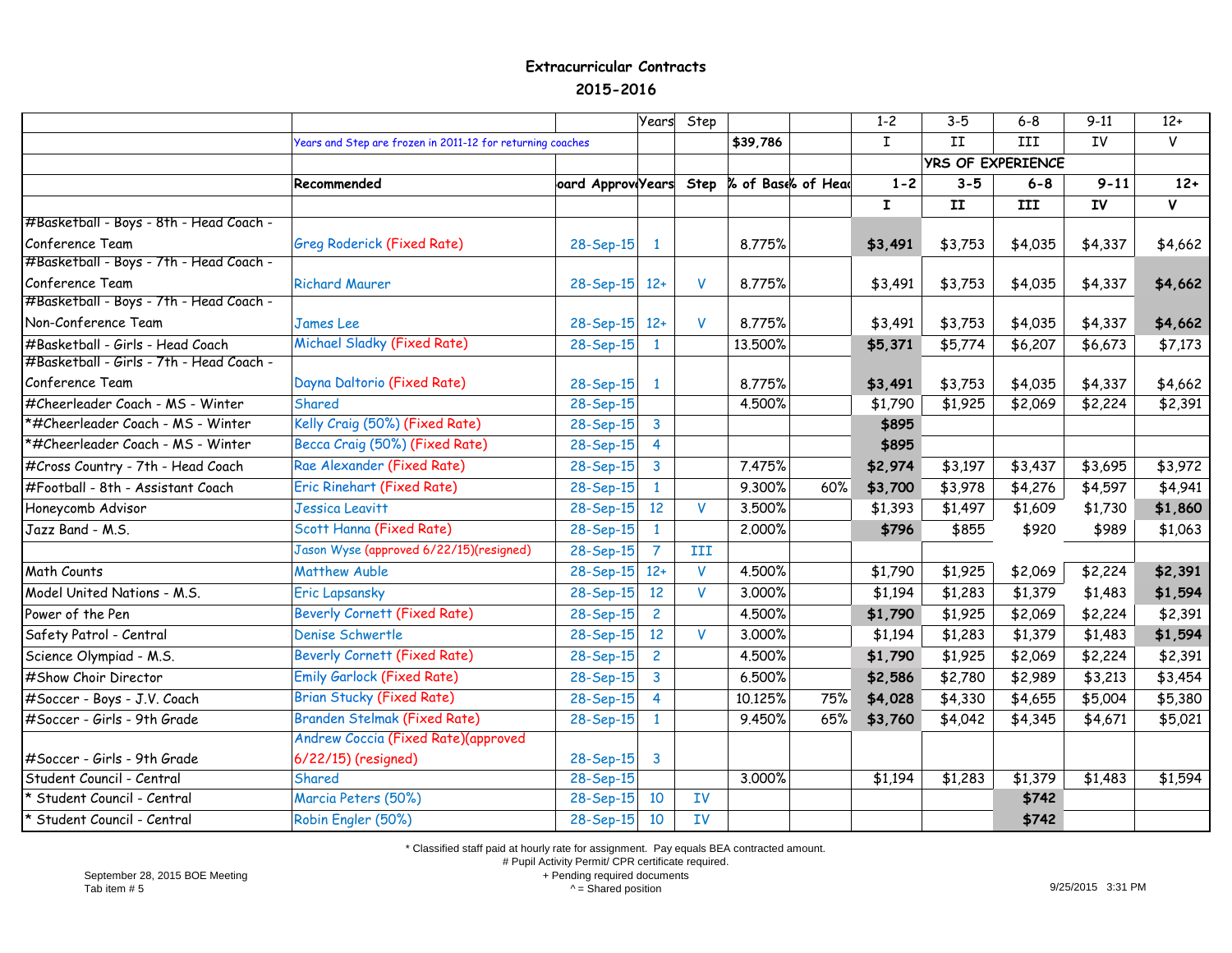## **Extracurricular Contracts 2015-2016**

|                                          |                                                            |                   | Years          | Step         |                    |     | $1 - 2$      | $3-5$                    | $6 - 8$ | $9 - 11$  | $12+$   |
|------------------------------------------|------------------------------------------------------------|-------------------|----------------|--------------|--------------------|-----|--------------|--------------------------|---------|-----------|---------|
|                                          | Years and Step are frozen in 2011-12 for returning coaches |                   |                |              | \$39,786           |     | $\mathbf I$  | II                       | III     | IV        | V       |
|                                          |                                                            |                   |                |              |                    |     |              | <b>YRS OF EXPERIENCE</b> |         |           |         |
|                                          | Recommended                                                | oard Approv Years |                | Step         | % of Base% of Head |     | $1 - 2$      | $3 - 5$                  | $6 - 8$ | $9 - 11$  | $12+$   |
|                                          |                                                            |                   |                |              |                    |     | $\mathbf{I}$ | II                       | III     | <b>IV</b> | V       |
| #Basketball - Boys - 8th - Head Coach -  |                                                            |                   |                |              |                    |     |              |                          |         |           |         |
| Conference Team                          | <b>Greg Roderick (Fixed Rate)</b>                          | 28-Sep-15         | $\mathbf{1}$   |              | 8.775%             |     | \$3,491      | \$3,753                  | \$4,035 | \$4,337   | \$4,662 |
| #Basketball - Boys - 7th - Head Coach -  |                                                            |                   |                |              |                    |     |              |                          |         |           |         |
| Conference Team                          | <b>Richard Maurer</b>                                      | 28-Sep-15 12+     |                | V            | 8.775%             |     | \$3,491      | \$3,753                  | \$4,035 | \$4,337   | \$4,662 |
| #Basketball - Boys - 7th - Head Coach -  |                                                            |                   |                |              |                    |     |              |                          |         |           |         |
| Non-Conference Team                      | <b>James Lee</b>                                           | 28-Sep-15 12+     |                | V            | 8.775%             |     | \$3,491      | \$3,753                  | \$4,035 | \$4,337   | \$4,662 |
| #Basketball - Girls - Head Coach         | Michael Sladky (Fixed Rate)                                | $28 - Sep-15$     | $\mathbf{1}$   |              | 13.500%            |     | \$5,371      | \$5,774                  | \$6,207 | \$6,673   | \$7,173 |
| #Basketball - Girls - 7th - Head Coach - |                                                            |                   |                |              |                    |     |              |                          |         |           |         |
| Conference Team                          | Dayna Daltorio (Fixed Rate)                                | 28-Sep-15         | $\mathbf{1}$   |              | 8.775%             |     | \$3,491      | \$3,753                  | \$4,035 | \$4,337   | \$4,662 |
| #Cheerleader Coach - MS - Winter         | Shared                                                     | 28-Sep-15         |                |              | 4.500%             |     | \$1,790      | \$1,925                  | \$2,069 | \$2,224   | \$2,391 |
| *#Cheerleader Coach - MS - Winter        | Kelly Craig (50%) (Fixed Rate)                             | $28 - Sep-15$     | $\mathbf{3}$   |              |                    |     | \$895        |                          |         |           |         |
| *#Cheerleader Coach - MS - Winter        | Becca Craig (50%) (Fixed Rate)                             | $28 - Sep-15$     | $\overline{4}$ |              |                    |     | \$895        |                          |         |           |         |
| #Cross Country - 7th - Head Coach        | Rae Alexander (Fixed Rate)                                 | $28 - Sep-15$     | $\mathbf{3}$   |              | 7.475%             |     | \$2,974      | \$3,197                  | \$3,437 | \$3,695   | \$3,972 |
| #Football - 8th - Assistant Coach        | Eric Rinehart (Fixed Rate)                                 | 28-Sep-15         | $\mathbf{1}$   |              | 9.300%             | 60% | \$3,700      | \$3,978                  | \$4,276 | \$4,597   | \$4,941 |
| Honeycomb Advisor                        | Jessica Leavitt                                            | 28-Sep-15         | 12             | <b>V</b>     | 3.500%             |     | \$1,393      | \$1,497                  | \$1,609 | \$1,730   | \$1,860 |
| Jazz Band - M.S.                         | Scott Hanna (Fixed Rate)                                   | 28-Sep-15         | $\mathbf{1}$   |              | 2.000%             |     | \$796        | \$855                    | \$920   | \$989     | \$1,063 |
|                                          | Jason Wyse (approved 6/22/15)(resigned)                    | 28-Sep-15         | $\overline{7}$ | III          |                    |     |              |                          |         |           |         |
| Math Counts                              | <b>Matthew Auble</b>                                       | $28-Sep-15$       | $12+$          | V            | 4.500%             |     | \$1,790      | \$1,925                  | \$2,069 | \$2,224   | \$2,391 |
| Model United Nations - M.S.              | <b>Eric Lapsansky</b>                                      | 28-Sep-15         | 12             | $\mathsf{V}$ | 3.000%             |     | \$1,194      | \$1,283                  | \$1,379 | \$1,483   | \$1,594 |
| Power of the Pen                         | <b>Beverly Cornett (Fixed Rate)</b>                        | 28-Sep-15         | $\overline{2}$ |              | 4.500%             |     | \$1,790      | \$1,925                  | \$2,069 | \$2,224   | \$2,391 |
| Safety Patrol - Central                  | Denise Schwertle                                           | 28-Sep-15         | 12             | $\mathsf{V}$ | 3.000%             |     | \$1,194      | \$1,283                  | \$1,379 | \$1,483   | \$1,594 |
| Science Olympiad - M.S.                  | <b>Beverly Cornett (Fixed Rate)</b>                        | 28-Sep-15         | $\overline{2}$ |              | 4.500%             |     | \$1,790      | \$1,925                  | \$2,069 | \$2,224   | \$2,391 |
| #Show Choir Director                     | <b>Emily Garlock (Fixed Rate)</b>                          | 28-Sep-15         | $\mathbf{3}$   |              | 6.500%             |     | \$2,586      | \$2,780                  | \$2,989 | \$3,213   | \$3,454 |
| #Soccer - Boys - J.V. Coach              | <b>Brian Stucky (Fixed Rate)</b>                           | 28-Sep-15         | $\overline{4}$ |              | 10.125%            | 75% | \$4,028      | \$4,330                  | \$4,655 | \$5,004   | \$5,380 |
| #Soccer - Girls - 9th Grade              | <b>Branden Stelmak (Fixed Rate)</b>                        | 28-Sep-15         | $\mathbf{1}$   |              | 9.450%             | 65% | \$3,760      | \$4,042                  | \$4,345 | \$4,671   | \$5,021 |
|                                          | Andrew Coccia (Fixed Rate)(approved                        |                   |                |              |                    |     |              |                          |         |           |         |
| #Soccer - Girls - 9th Grade              | 6/22/15) (resigned)                                        | $28-Sep-15$       | $\mathbf{3}$   |              |                    |     |              |                          |         |           |         |
| Student Council - Central                | Shared                                                     | 28-Sep-15         |                |              | 3.000%             |     | \$1,194      | \$1,283                  | \$1,379 | \$1,483   | \$1,594 |
| * Student Council - Central              | Marcia Peters (50%)                                        | 28-Sep-15         | 10             | <b>IV</b>    |                    |     |              |                          | \$742   |           |         |
| * Student Council - Central              | Robin Engler (50%)                                         | $28-Sep-15$       | 10             | IV           |                    |     |              |                          | \$742   |           |         |

\* Classified staff paid at hourly rate for assignment. Pay equals BEA contracted amount.